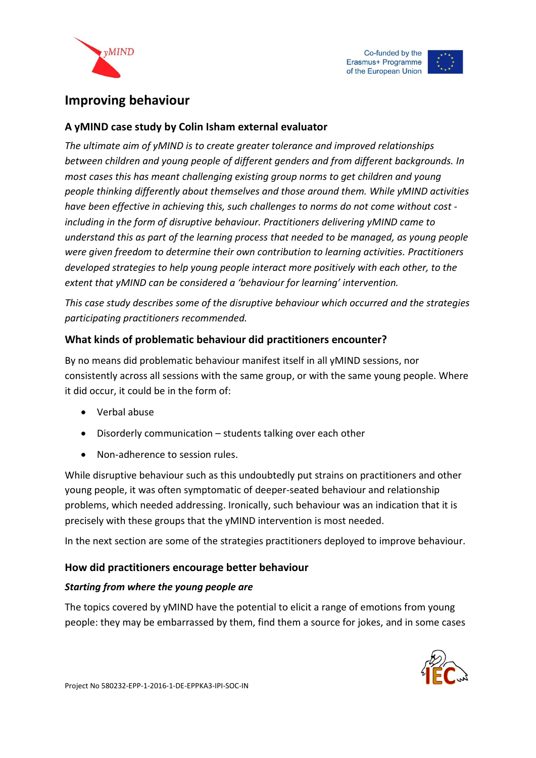





# **Improving behaviour**

# **A yMIND case study by Colin Isham external evaluator**

*The ultimate aim of yMIND is to create greater tolerance and improved relationships between children and young people of different genders and from different backgrounds. In most cases this has meant challenging existing group norms to get children and young people thinking differently about themselves and those around them. While yMIND activities have been effective in achieving this, such challenges to norms do not come without cost including in the form of disruptive behaviour. Practitioners delivering yMIND came to understand this as part of the learning process that needed to be managed, as young people were given freedom to determine their own contribution to learning activities. Practitioners developed strategies to help young people interact more positively with each other, to the extent that yMIND can be considered a 'behaviour for learning' intervention.*

*This case study describes some of the disruptive behaviour which occurred and the strategies participating practitioners recommended.* 

# **What kinds of problematic behaviour did practitioners encounter?**

By no means did problematic behaviour manifest itself in all yMIND sessions, nor consistently across all sessions with the same group, or with the same young people. Where it did occur, it could be in the form of:

- Verbal abuse
- Disorderly communication students talking over each other
- Non-adherence to session rules.

While disruptive behaviour such as this undoubtedly put strains on practitioners and other young people, it was often symptomatic of deeper-seated behaviour and relationship problems, which needed addressing. Ironically, such behaviour was an indication that it is precisely with these groups that the yMIND intervention is most needed.

In the next section are some of the strategies practitioners deployed to improve behaviour.

## **How did practitioners encourage better behaviour**

## *Starting from where the young people are*

The topics covered by yMIND have the potential to elicit a range of emotions from young people: they may be embarrassed by them, find them a source for jokes, and in some cases